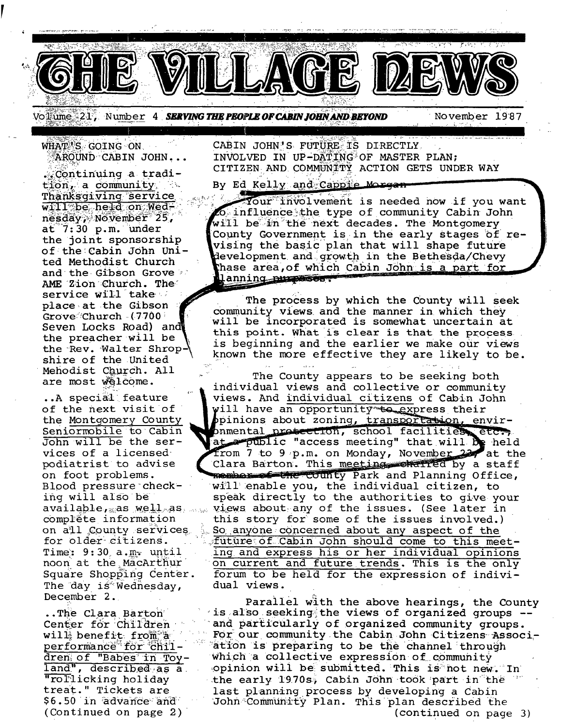

Voltume 21, Number 4 **SERVING THE PEOPLE OF CABIN JOHN AND BEYOND** 

November 1987

WHAT'S GOING ON AROUND CABIN JOHN...

. Continuing a tradition, a community. Thanksgiving service will be held on Wednesday, November 25,  $at$  7:30 p.m. under the joint sponsorship of the Cabin John United Methodist Church and the Gibson Grove AME Zion Church. The service will take place at the Gibson Grove Church (7700) Seven Locks Road) and the preacher will be the Rev. Walter Shrop. shire of the United Mehodist Church. All are most welcome.

..A special feature of the next visit of the Montgomery County Seniormobile to Cabin John will be the services of a licensed podiatrist to advise on foot problems. Blood pressure checking will also be  $available,$  as  $well$  as  $...$ complète information on all County services for older citizens. Time:  $9:30$  a.m. until noon at the MacArthur Square Shopping Center. The day is Wednesday, December 2.

..The Clara Barton Center for Children will benefit from a performance for children of "Babes in Toyland", described as a "rollicking holiday treat." Tickets are \$6.50 in advance and (Continued on page 2)

CABIN JOHN'S FUTURE IS DIRECTLY INVOLVED IN UP-DATING OF MASTER PLAN: CITIZEN AND COMMUNITY ACTION GETS UNDER WAY

By Ed Kelly and Cappie Mo<del>rgan</del>

Your involvement is needed now if you want O influence the type of community Cabin John will be in the next decades. The Montgomery County Government is in the early stages of revising the basic plan that will shape future development and growth in the Bethesda/Chevy thase area, of which Cabin John is a part for lanning purposes?

The process by which the County will seek community views and the manner in which they will be incorporated is somewhat uncertain at this point. What is clear is that the process. is beginning and the earlier we make our views known the more effective they are likely to be.

The County appears to be seeking both individual views and collective or community views. And individual citizens of Cabin John will have an opportunity to express their pinions about zoning, transportation, envirphmental protection, school facilities, etc., from 7 to 9 p.m. on Monday, November 22, at the Clara Barton. This meeting conditied by a staff member of the county Park and Planning Office, will enable you, the individual citizen, to speak directly to the authorities to give your views about any of the issues. (See later in this story for some of the issues involved.) So anyone concerned about any aspect of the future of Cabin John should come to this meeting and express his or her individual opinions on current and future trends. This is the only forum to be held for the expression of individual views.

Parallel with the above hearings, the County is also seeking the views of organized groups -and particularly of organized community groups. For our community the Cabin John Citizens Association is preparing to be the channel through which a collective expression of community opinion will be submitted. This is not new, In the early 1970s, Cabin John took part in the last planning process by developing a Cabin John Community Plan. This plan described the (continued on page 3)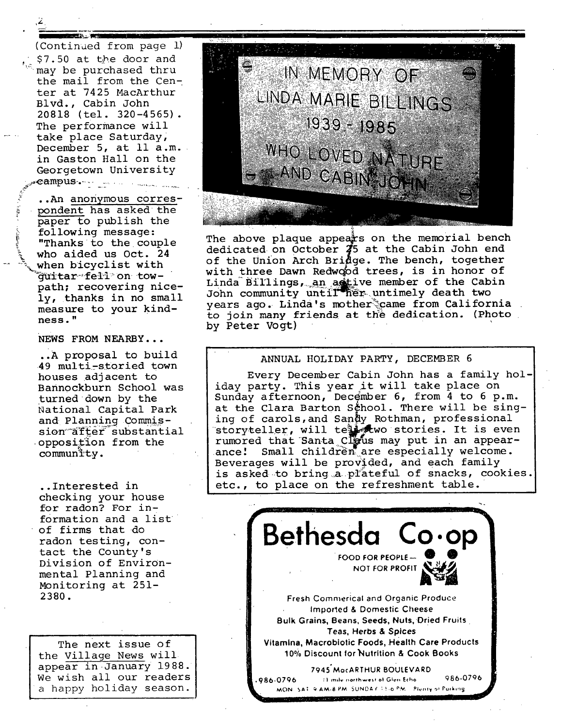,2

(Continued from page I) \$7.50 at the door and may be purchased thru the mail from the Center at 7425 MacArthur Blvd., Cabin John 20818 (tel. 320-4565). The performance will take place Saturday, December 5, at 11 a.m. in Gaston Hall on the Georgetown University  $\texttt{examples} \rightarrow \texttt{new}$ 

.. An anonymous correspondent has asked the paper to publish the following message: "Thanks to the couple who aided us Oct. 24 when bicyclist with  $\tilde{q}$ uitar-fell on towpath; recovering nicely, thanks in no small measure to your kindness. "

**NEWS** FROM NEARBY...

..A proposal to build 49 multi-storied town houses adjacent to Bannockburn School was turned down by the National Capital Park and Planning Commission<sup>-after</sup> substantial oppositlon from the commun<sup>"</sup>ity.

• .Interested in checking your house for radon? For information and a list of firms that do radon testing, contact the County's Division of Environmental Planning and Monitoring at 251- 2380.

The next issue of the Village News will appear in January 1988. We wish all our readers a happy holiday season.



The above plaque appears on the memorial bench dedicated on October  $\overline{3}5$  at the Cabin John end of the Union Arch Bridge. The bench, together with three Dawn Redwood trees, is in honor of Linda Billings, an astive member of the Cabin John community until her untimely death two vears ago. Linda's motherscame from California. to join many friends at the dedication. (Photo by Peter Vogt)

#### ANNUAL HOLIDAY PARTY, DECEMBER 6

Every December Cabin John has a family holiday party. This year it will take place on Sunday afternoon, December 6, from  $4$  to 6 p.m. at the Clara Barton School. There will be singing of carols,and Sandy Rothman, professional storyteller, will te $\mathbf{I}_{\mathcal{C}}$ wo stories. It is even rumored that Santa Clefus may put in an appearance! Small children are especially welcome. Beverages will be provided, and each family is asked to bring a plateful of snacks, cookies. etc., to place on the refreshment table.

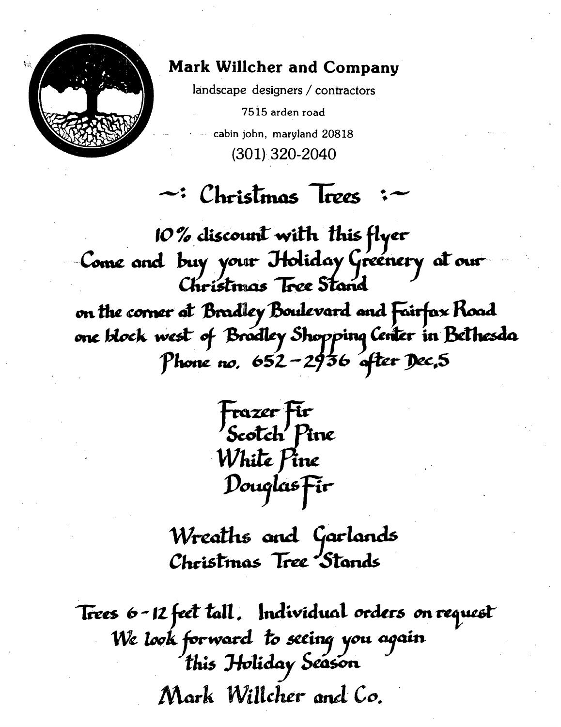

# **Mark Willcher and Company**

landscape designers / contractors

7515 arden road cabin john, maryland 20818  $(301)$  320-2040

# $\sim$ : Christmas Trees

10 % discount with this flyer Come and buy your Itoliday Greenery at our Christmas Tree Stand on the corner at Bradley Boulevard and Fairfax Road one block west of Bradley Shopping Center in Bethesda Phone no. 652-2936 after Dec, 5

Frazer Fir<br>Scotch Pine White Pine Douglas Fir

Wreaths and Garlands Christmas Tree Stands

Trees 6-12 feet tall. Individual orders on request We look forward to seeing you again<br>this Holiday Season Mark Willcher and Co.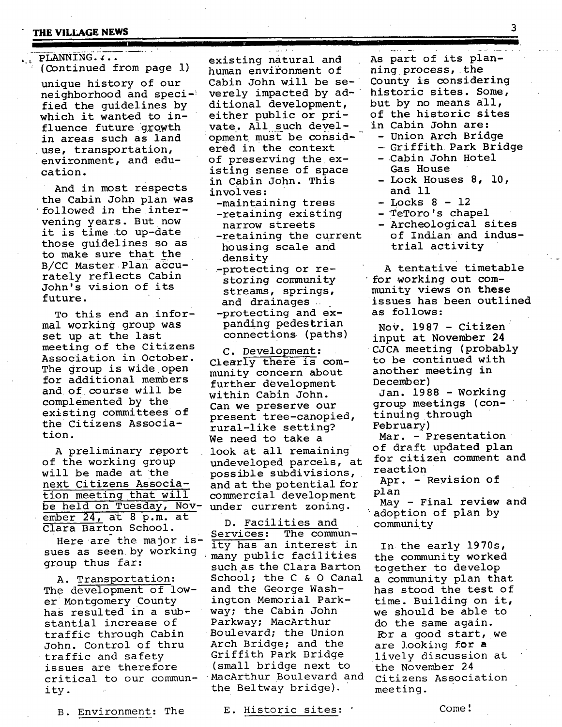# **THE VILLAGE NEWS** 3

#### PLANNING. Y.. (Continued from page i)

unique history of our neighborhood and specified the guidelines by which it wanted to influence future growth in areas such as land use, transportation, environment, and education.

And in most respects the Cabin John plan was 'followed in the intervening years. But now it is time to up-date those guidelines so as to make sure that the B/CC Master Plan accurately reflects Cabin John's vision of its future.

To this end an informal working group was set up at the last meeting of the Citizens Association in October. The group is wide open for additional members and of course will be complemented by the existing committees of the Citizens Association.

A preliminary r@port of the working group will be made at the next Citizens Association meeting that will be held on Tuesday, Nov- under current zoning. ember 24, at 8 p.m. at

here are the major is ity has an interest in<br>sues as seen by working many public facilities sues as seen by working many public facilities<br>group thus far: even as the Clara Barton

A. Transportation: The development of lower Montgomery County has resulted in a substantial increase of traffic through Cabin John. Control of thru • traffic and safety issues are therefore critical to our commun- MacArthur Boulevard and citizens Association ity. the Beltway bridge). meeting.

existing natural and human environment of Cabin John will be severely impacted by additional development, either public or private. All such development must be considered in the context of preserving the existing sense of space in Cabin John. This involves: -maintaining trees -retaining existing

narrow streets -retaining the current housing scale and density

-protecting or restoring community streams, springs, and drainages -protecting and expanding pedestrian connections (paths)

C. Development: Clearly there is community concern about further development within Cabin John. Can we preserve our present tree-canopied, rural-like setting? We need to take a look at all remaining undeveloped parcels, at possible subdivisions, and at the potential for commercial development

ENDEL 24, at 0 p.m. at D. Facilities and<br>Clara Barton School. Services: The comm Here are the major is- $\frac{\text{Services:}}{\text{I+U}}$  here communsuch as the Clara Barton School; the C & O Canal and the George Washington.Memorial Parkway; the Cabin John Parkway; MacArthur Boulevard; the Union Arch Bridge; and the Griffith Park Bridge (small bridge next to

B. Environment: The E. Historic sites: ' Come!

As part of its planning process, the County is considering historic sites. Some, but by no means all, of the historic sites

**I** 

- in Cabin John are:
	- Union Arch Bridge
	- Griffith Park Bridge -Cabin John Hotel
	- Gas House - Lock Houses 8, 10, and ii
	- Locks 8 12
- TeToro's chapel
- Archeological sites of Indian and industrial activity

A tentative timetable for working out community views on these issues has been outlined as follows:

Nov. 1987 - Citizen input at November 24 CJCA meeting (probably to be continued with another meeting in December)

Jan. 19 88 - Working group meetings (continuing through February)

Mar. - Presentation of draft updated plan for citizen comment and reaction

Apr. - Revision of plan

May - Final review and adoption of plan by community

In the early 1970s, the community worked together to develop a community plan that has stood the test of time. Building on it, we should be able to do the same again. For a good start, we are looking for a lively discussion at the November 24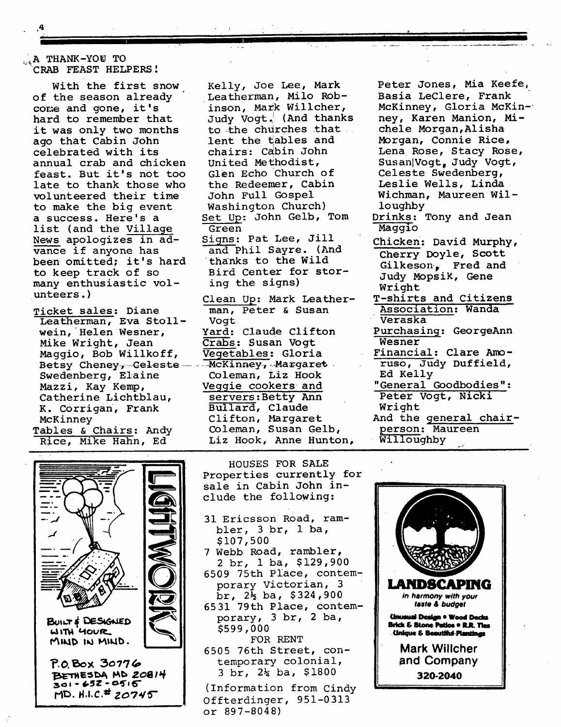### A THANK-YOU TO CRAB FEAST HELPERS!

With the first snow of the season already come and gone, it's hard to remember that it was only two months ago that Cabin John celebrated with its annual crab and chicken feast. But it's not **too**  late to thank those who volunteered their time to make the big event a success. Here's a list (and the Village News apologizes in advance if anyone has been omitted; it's hard to keep track of so many enthusiastic volunteers.)

Ticket sales: Diane Leatherman, Eva Stollwein, Helen Wesner, Mike Wright, Jean Maggio, Bob Willkoff, Vegetables: Gloria Betsy Cheney, Celeste .... McKinney, Margaret. Swedenberg, Elaine Mazzi, Kay Kemp, Catherine Lichtblau, K. Corrigan, Frank McKinney Tables & Chairs: Andy

Rice, Mike Hahn, Ed



Kelly, Joe Lee, Mark Leatherman, Milo Robinson, Mark Willcher, Judy Vogt.! (And thanks to the churches that lent the £ables and chairs: Cabin John United Me£hodist, Glen Echo Church of the Redeemer, Cabin John Full Gospel Washington Church) Set Up: John Gelb, Tom Green Signs: Pat Lee, Jill and Phil Sayre. (And thanks to the Wild Bird Center for storing the signs) Clean Up: Mark Leather-

man, Peter & Susan Vogt Yard: Claude Clifton Crabs: Susan Vogt Coleman, Liz Hook Veggie cookers and servers:Betty Ann Bullard, Claude Clifton, Margaret Coleman, Susan Gelb, Liz Hook, Anne Hunton,

HOUSES FOR SALE Properties currently for sale in Cabin John include the following:

31 Ericsson R0ad, rambler, 3 br, 1 ba,

7 Webb Road, rambler, 2 br, i ba, \$129,900 6509 75th Place, contemporary Victorian, 3  $\bar{b}$ r,  $2\frac{1}{2}$  ba, \$324,900 6531 79th Place, contemporary, 3 br, 2 ba,

FOR RENT 6505 76th Street, contemporary colonial, 3 br, 2% ba, \$1800 (Information from Cindy Offterdinger, 951-0313

\$107,500

\$599,000

or 897-8048)

Peter Jones, Mia Keefej Basia LeClere, Frank McKinney, Gloria McKin-' ney, Karen Manion, Michele Morgan,Alisha Morgan, Connie Rice, Lena Rose, Stacy Rose, Susan Vogt, Judy Vogt, Celeste Swedenberg, Leslie Wells, Linda Wichman, Maureen Willoughby

- Drinks: Tony and Jean Maggio
- Chicken: David Murphy, Cherry Doyle, Scott Gilkeson. Fred and Judy MopsiK, Gene Wright
- T-shirts and Citizens Association: Wanda • Veraska
- Purchasing: GeorgeAnn Wesner
- Financial: Clare Amoruso, Judy Duffield, Ed Kelly
- "General Goodbodies": Peter Vogt, Nicki Wright

And the general chairperson: Maureen Willoughby

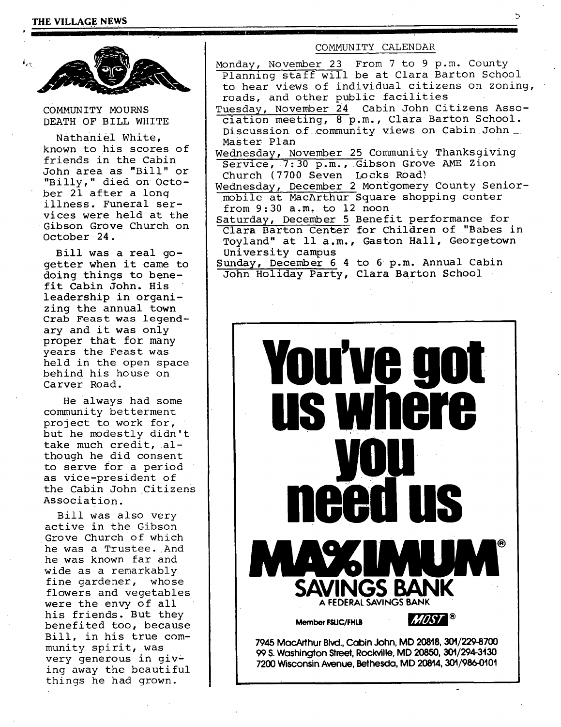

cOMMUNITY MOURNS DEATH OF BILL WHITE

Nathaniel White, known to his scores of friends in the Cabin John area as "Bill" or "Billy," died on October 21 after a long illness. Funeral services were held at the Gibson Grove Church on October 24.

Bill was a real gogetter when it came to doing things to benefit Cabin John. **His**  leadership in organizing the annual town Crab Feast was legendary and it was only proper that for many years the Feast was held in the open space behind his house on Carver Road.

He always had some community betterment project to work for, but he modestly didn't take much credit, although he did consent to serve for a period as vice-president of the Cabin John Citizens Association.

Bill was also very active in the Gibson Grove Church of which he was a Trustee. And he was known far and wide as a remarkably fine gardener, whose flowers and vegetables were the envy of all his friends. But they benefited too, because Bill, in his true community spirit, was very generous in qiving away the beautiful things he had grown.

### COMMUNITY CALENDAR

Monday, November 23 From 7 to 9 p.m. County Planning staff will be at Clara Barton School to hear views of individual citizens on zoning, roads, and other public facilities

Tuesday, November 24 Cabin John Citizens Association meeting, 8 p.m., Clara Barton School. Discussion of community views on Cabin John\_. Master Plan

Wednesday, November 25 Community Thanksgiving Service, 7:30 p.m., Gibson Grove AME Zion Church (7700 Seven Locks Road)

Wednesday, December 2 Montgomery County Seniormobile at MacArthur Square shopping center from 9:30 a.m, to 12 noon

Saturday, December 5 Benefit performance for Clara Barton Center for Children of "Babes in Toyland" at 11 a.m., Gaston Hall, Georgetown University campus

Sunday, December 6 4 to 6 p.m. Annual Cabin John Holiday Party, Clara Barton School



99 S. Washington Street, Rockville, MD 20850, 301/294-3130 **7200 Wisconsin Avenue, Bethesda, MD 20814, 301/986-0101**